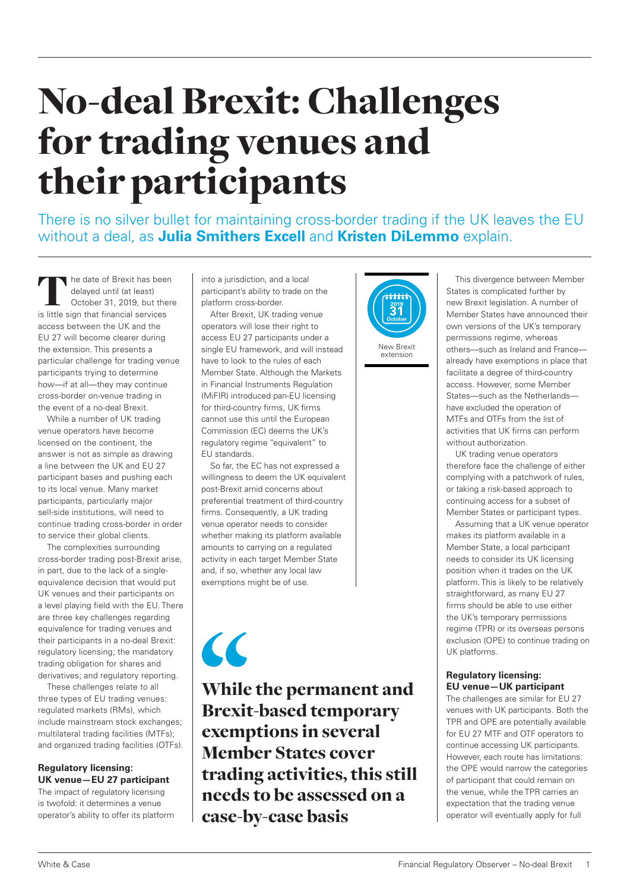# No-deal Brexit: Challenges for trading venues and their participants

There is no silver bullet for maintaining cross-border trading if the UK leaves the EU without a deal, as **Julia Smithers Excell** and **Kristen DiLemmo** explain.

he date of Brexit has been delayed until (at least) October 31, 2019, but there is little sign that financial services access between the UK and the EU 27 will become clearer during the extension. This presents a particular challenge for trading venue participants trying to determine how—if at all—they may continue cross-border on-venue trading in the event of a no-deal Brexit.

While a number of UK trading venue operators have become licensed on the continent, the answer is not as simple as drawing a line between the UK and EU 27 participant bases and pushing each to its local venue. Many market participants, particularly major sell-side institutions, will need to continue trading cross-border in order to service their global clients.

The complexities surrounding cross-border trading post-Brexit arise, in part, due to the lack of a singleequivalence decision that would put UK venues and their participants on a level playing field with the EU. There are three key challenges regarding equivalence for trading venues and their participants in a no-deal Brexit: regulatory licensing; the mandatory trading obligation for shares and derivatives; and regulatory reporting.

These challenges relate to all three types of EU trading venues: regulated markets (RMs), which include mainstream stock exchanges; multilateral trading facilities (MTFs); and organized trading facilities (OTFs).

# **Regulatory licensing: UK venue—EU 27 participant**

The impact of regulatory licensing is twofold: it determines a venue operator's ability to offer its platform into a jurisdiction, and a local participant's ability to trade on the platform cross-border.

After Brexit, UK trading venue operators will lose their right to access EU 27 participants under a single EU framework, and will instead have to look to the rules of each Member State. Although the Markets in Financial Instruments Regulation (MiFIR) introduced pan-EU licensing for third-country firms, UK firms cannot use this until the European Commission (EC) deems the UK's regulatory regime "equivalent" to EU standards.

So far, the EC has not expressed a willingness to deem the UK equivalent post-Brexit amid concerns about preferential treatment of third-country firms. Consequently, a UK trading venue operator needs to consider whether making its platform available amounts to carrying on a regulated activity in each target Member State and, if so, whether any local law exemptions might be of use.

 $\epsilon$ 

While the permanent and Brexit-based temporary exemptions in several Member States cover trading activities, this still needs to be assessed on a case-by-case basis



extension

This divergence between Member States is complicated further by new Brexit legislation. A number of Member States have announced their own versions of the UK's temporary permissions regime, whereas others—such as Ireland and France already have exemptions in place that facilitate a degree of third-country access. However, some Member States—such as the Netherlands have excluded the operation of MTFs and OTFs from the list of activities that UK firms can perform without authorization.

UK trading venue operators therefore face the challenge of either complying with a patchwork of rules, or taking a risk-based approach to continuing access for a subset of Member States or participant types.

Assuming that a UK venue operator makes its platform available in a Member State, a local participant needs to consider its UK licensing position when it trades on the UK platform. This is likely to be relatively straightforward, as many EU 27 firms should be able to use either the UK's temporary permissions regime (TPR) or its overseas persons exclusion (OPE) to continue trading on UK platforms.

#### **Regulatory licensing: EU venue—UK participant**

The challenges are similar for EU 27 venues with UK participants. Both the TPR and OPE are potentially available for EU 27 MTF and OTF operators to continue accessing UK participants. However, each route has limitations: the OPE would narrow the categories of participant that could remain on the venue, while the TPR carries an expectation that the trading venue operator will eventually apply for full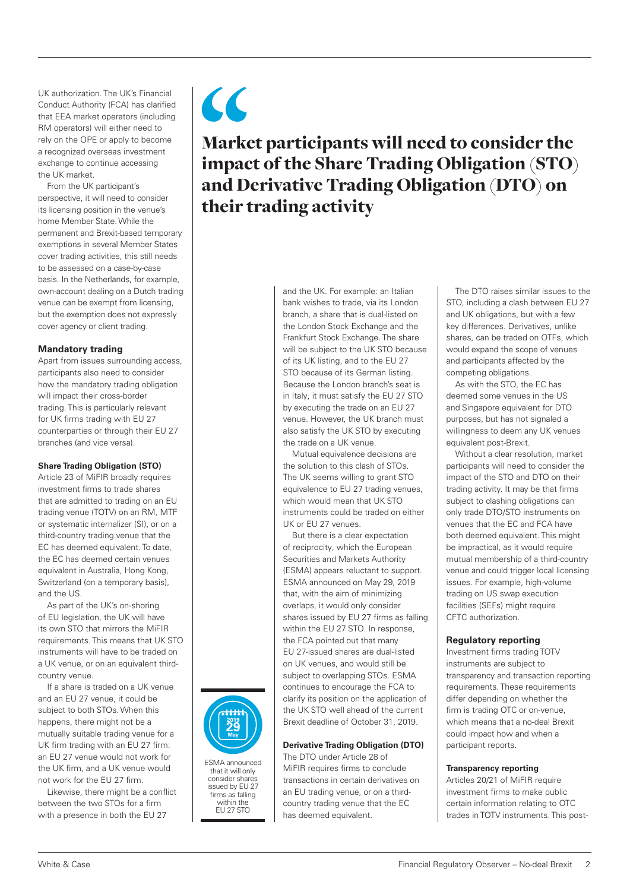UK authorization. The UK's Financial Conduct Authority (FCA) has clarified that EEA market operators (including RM operators) will either need to rely on the OPE or apply to become a recognized overseas investment exchange to continue accessing the UK market.

From the UK participant's perspective, it will need to consider its licensing position in the venue's home Member State. While the permanent and Brexit-based temporary exemptions in several Member States cover trading activities, this still needs to be assessed on a case-by-case basis. In the Netherlands, for example, own-account dealing on a Dutch trading venue can be exempt from licensing, but the exemption does not expressly cover agency or client trading.

#### **Mandatory trading**

Apart from issues surrounding access, participants also need to consider how the mandatory trading obligation will impact their cross-border trading. This is particularly relevant for UK firms trading with EU 27 counterparties or through their EU 27 branches (and vice versa).

#### **Share Trading Obligation (STO)**

Article 23 of MiFIR broadly requires investment firms to trade shares that are admitted to trading on an EU trading venue (TOTV) on an RM, MTF or systematic internalizer (SI), or on a third-country trading venue that the EC has deemed equivalent. To date, the EC has deemed certain venues equivalent in Australia, Hong Kong, Switzerland (on a temporary basis), and the US.

As part of the UK's on-shoring of EU legislation, the UK will have its own STO that mirrors the MiFIR requirements. This means that UK STO instruments will have to be traded on a UK venue, or on an equivalent thirdcountry venue.

If a share is traded on a UK venue and an EU 27 venue, it could be subject to both STOs. When this happens, there might not be a mutually suitable trading venue for a UK firm trading with an EU 27 firm: an EU 27 venue would not work for the UK firm, and a UK venue would not work for the EU 27 firm.

Likewise, there might be a conflict between the two STOs for a firm with a presence in both the EU 27



ESMA announced that it will only consider shares issued by EU 27 firms as falling within the EU 27 STO

 $\epsilon$ Market participants will need to consider the impact of the Share Trading Obligation (STO) and Derivative Trading Obligation (DTO) on their trading activity

> and the UK. For example: an Italian bank wishes to trade, via its London branch, a share that is dual-listed on the London Stock Exchange and the Frankfurt Stock Exchange. The share will be subject to the UK STO because of its UK listing, and to the EU 27 STO because of its German listing. Because the London branch's seat is in Italy, it must satisfy the EU 27 STO by executing the trade on an EU 27 venue. However, the UK branch must also satisfy the UK STO by executing the trade on a UK venue.

Mutual equivalence decisions are the solution to this clash of STOs. The UK seems willing to grant STO equivalence to EU 27 trading venues, which would mean that UK STO instruments could be traded on either UK or EU 27 venues.

But there is a clear expectation of reciprocity, which the European Securities and Markets Authority (ESMA) appears reluctant to support. ESMA announced on May 29, 2019 that, with the aim of minimizing overlaps, it would only consider shares issued by EU 27 firms as falling within the EU 27 STO. In response, the FCA pointed out that many EU 27-issued shares are dual-listed on UK venues, and would still be subject to overlapping STOs. ESMA continues to encourage the FCA to clarify its position on the application of the UK STO well ahead of the current Brexit deadline of October 31, 2019.

# **Derivative Trading Obligation (DTO)**

The DTO under Article 28 of MiFIR requires firms to conclude transactions in certain derivatives on an EU trading venue, or on a thirdcountry trading venue that the EC has deemed equivalent.

The DTO raises similar issues to the STO, including a clash between EU 27 and UK obligations, but with a few key differences. Derivatives, unlike shares, can be traded on OTFs, which would expand the scope of venues and participants affected by the competing obligations.

As with the STO, the EC has deemed some venues in the US and Singapore equivalent for DTO purposes, but has not signaled a willingness to deem any UK venues equivalent post-Brexit.

Without a clear resolution, market participants will need to consider the impact of the STO and DTO on their trading activity. It may be that firms subject to clashing obligations can only trade DTO/STO instruments on venues that the EC and FCA have both deemed equivalent. This might be impractical, as it would require mutual membership of a third-country venue and could trigger local licensing issues. For example, high-volume trading on US swap execution facilities (SEFs) might require CFTC authorization.

# **Regulatory reporting**

Investment firms trading TOTV instruments are subject to transparency and transaction reporting requirements. These requirements differ depending on whether the firm is trading OTC or on-venue, which means that a no-deal Brexit could impact how and when a participant reports.

#### **Transparency reporting**

Articles 20/21 of MiFIR require investment firms to make public certain information relating to OTC trades in TOTV instruments. This post-